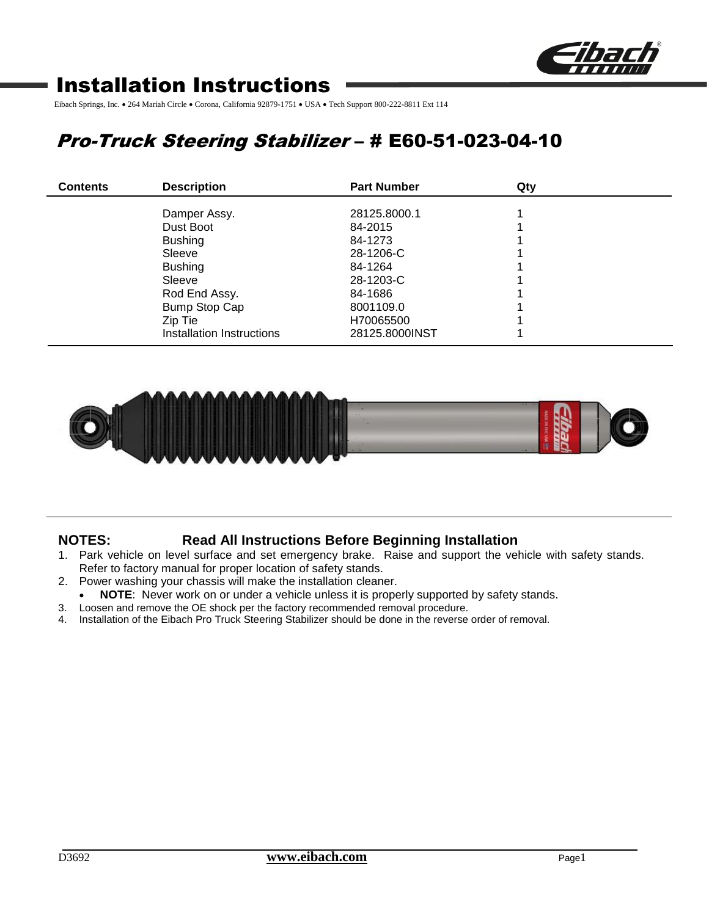

# Installation Instructions

Eibach Springs, Inc. • 264 Mariah Circle • Corona, California 92879-1751 • USA • Tech Support 800-222-8811 Ext 114

# Pro-Truck Steering Stabilizer – # E60-51-023-04-10

| <b>Contents</b> | <b>Description</b>        | <b>Part Number</b> | Qty |  |
|-----------------|---------------------------|--------------------|-----|--|
|                 | Damper Assy.              | 28125,8000.1       |     |  |
|                 | Dust Boot                 | 84-2015            |     |  |
|                 | <b>Bushing</b>            | 84-1273            |     |  |
|                 | Sleeve                    | 28-1206-C          |     |  |
|                 | <b>Bushing</b>            | 84-1264            |     |  |
|                 | Sleeve                    | 28-1203-C          |     |  |
|                 | Rod End Assy.             | 84-1686            |     |  |
|                 | Bump Stop Cap             | 8001109.0          |     |  |
|                 | Zip Tie                   | H70065500          |     |  |
|                 | Installation Instructions | 28125,8000INST     |     |  |



## **NOTES: Read All Instructions Before Beginning Installation**

- 1. Park vehicle on level surface and set emergency brake. Raise and support the vehicle with safety stands. Refer to factory manual for proper location of safety stands.
- 2. Power washing your chassis will make the installation cleaner.
	- **NOTE**: Never work on or under a vehicle unless it is properly supported by safety stands.
- 3. Loosen and remove the OE shock per the factory recommended removal procedure.
- 4. Installation of the Eibach Pro Truck Steering Stabilizer should be done in the reverse order of removal.